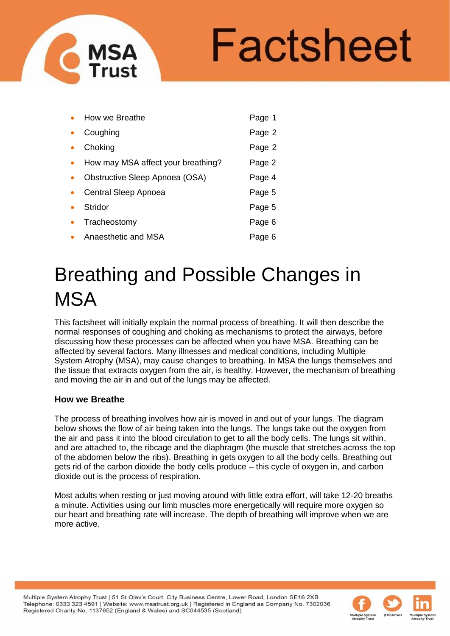# Factsheet

|           | How we Breathe                     | Page 1 |
|-----------|------------------------------------|--------|
|           | Coughing                           | Page 2 |
|           | Choking                            | Page 2 |
| $\bullet$ | How may MSA affect your breathing? | Page 2 |
|           | Obstructive Sleep Apnoea (OSA)     | Page 4 |
|           | Central Sleep Apnoea               | Page 5 |
|           | Stridor                            | Page 5 |
|           | Tracheostomy                       | Page 6 |
|           | Anaesthetic and MSA                | Page 6 |

**MSA** 

# Breathing and Possible Changes in **MSA**

This factsheet will initially explain the normal process of breathing. It will then describe the normal responses of coughing and choking as mechanisms to protect the airways, before discussing how these processes can be affected when you have MSA. Breathing can be affected by several factors. Many illnesses and medical conditions, including Multiple System Atrophy (MSA), may cause changes to breathing. In MSA the lungs themselves and the tissue that extracts oxygen from the air, is healthy. However, the mechanism of breathing and moving the air in and out of the lungs may be affected.

# **How we Breathe**

The process of breathing involves how air is moved in and out of your lungs. The diagram below shows the flow of air being taken into the lungs. The lungs take out the oxygen from the air and pass it into the blood circulation to get to all the body cells. The lungs sit within, and are attached to, the ribcage and the diaphragm (the muscle that stretches across the top of the abdomen below the ribs). Breathing in gets oxygen to all the body cells. Breathing out gets rid of the carbon dioxide the body cells produce – this cycle of oxygen in, and carbon dioxide out is the process of respiration.

Most adults when resting or just moving around with little extra effort, will take 12-20 breaths a minute. Activities using our limb muscles more energetically will require more oxygen so our heart and breathing rate will increase. The depth of breathing will improve when we are more active.

Multiple System Atrophy Trust | 51 St Olav's Court, City Business Centre, Lower Road, London SE16 2XB Telephone: 0333 323 4591 | Website: www.msatrust.org.uk | Registered in England as Company No. 7302036 Registered Charity No. 1137652 (England & Wales) and SC044535 (Scotland)

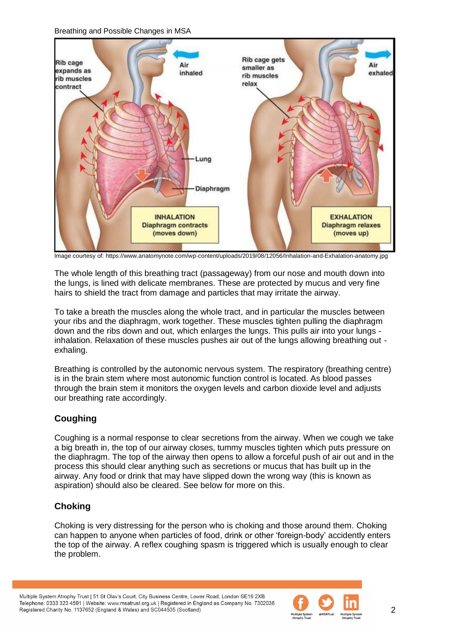

Image courtesy of: https://www.anatomynote.com/wp-content/uploads/2019/08/12056/Inhalation-and-Exhalation-anatomy.jpg

The whole length of this breathing tract (passageway) from our nose and mouth down into the lungs, is lined with delicate membranes. These are protected by mucus and very fine hairs to shield the tract from damage and particles that may irritate the airway.

To take a breath the muscles along the whole tract, and in particular the muscles between your ribs and the diaphragm, work together. These muscles tighten pulling the diaphragm down and the ribs down and out, which enlarges the lungs. This pulls air into your lungs inhalation. Relaxation of these muscles pushes air out of the lungs allowing breathing out exhaling.

Breathing is controlled by the autonomic nervous system. The respiratory (breathing centre) is in the brain stem where most autonomic function control is located. As blood passes through the brain stem it monitors the oxygen levels and carbon dioxide level and adjusts our breathing rate accordingly.

# **Coughing**

Coughing is a normal response to clear secretions from the airway. When we cough we take a big breath in, the top of our airway closes, tummy muscles tighten which puts pressure on the diaphragm. The top of the airway then opens to allow a forceful push of air out and in the process this should clear anything such as secretions or mucus that has built up in the airway. Any food or drink that may have slipped down the wrong way (this is known as aspiration) should also be cleared. See below for more on this.

# **Choking**

Choking is very distressing for the person who is choking and those around them. Choking can happen to anyone when particles of food, drink or other 'foreign-body' accidently enters the top of the airway. A reflex coughing spasm is triggered which is usually enough to clear the problem.

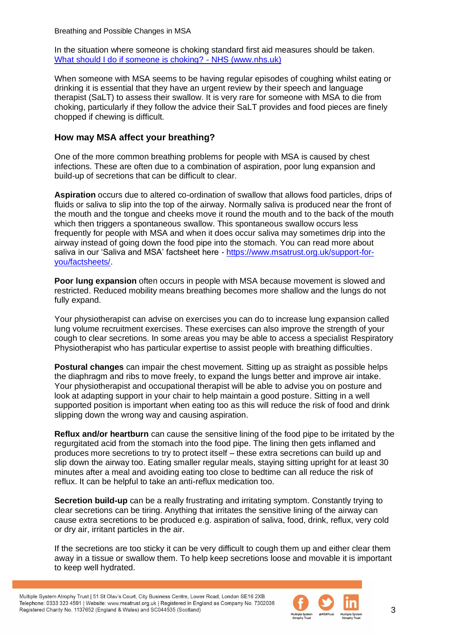In the situation where someone is choking standard first aid measures should be taken. [What should I do if someone is choking? -](https://www.nhs.uk/common-health-questions/accidents-first-aid-and-treatments/what-should-i-do-if-someone-is-choking/) NHS (www.nhs.uk)

When someone with MSA seems to be having regular episodes of coughing whilst eating or drinking it is essential that they have an urgent review by their speech and language therapist (SaLT) to assess their swallow. It is very rare for someone with MSA to die from choking, particularly if they follow the advice their SaLT provides and food pieces are finely chopped if chewing is difficult.

#### **How may MSA affect your breathing?**

One of the more common breathing problems for people with MSA is caused by chest infections. These are often due to a combination of aspiration, poor lung expansion and build-up of secretions that can be difficult to clear.

**Aspiration** occurs due to altered co-ordination of swallow that allows food particles, drips of fluids or saliva to slip into the top of the airway. Normally saliva is produced near the front of the mouth and the tongue and cheeks move it round the mouth and to the back of the mouth which then triggers a spontaneous swallow. This spontaneous swallow occurs less frequently for people with MSA and when it does occur saliva may sometimes drip into the airway instead of going down the food pipe into the stomach. You can read more about saliva in our 'Saliva and MSA' factsheet here - [https://www.msatrust.org.uk/support-for](https://www.msatrust.org.uk/support-for-you/factsheets/)[you/factsheets/.](https://www.msatrust.org.uk/support-for-you/factsheets/)

**Poor lung expansion** often occurs in people with MSA because movement is slowed and restricted. Reduced mobility means breathing becomes more shallow and the lungs do not fully expand.

Your physiotherapist can advise on exercises you can do to increase lung expansion called lung volume recruitment exercises. These exercises can also improve the strength of your cough to clear secretions. In some areas you may be able to access a specialist Respiratory Physiotherapist who has particular expertise to assist people with breathing difficulties.

**Postural changes** can impair the chest movement. Sitting up as straight as possible helps the diaphragm and ribs to move freely, to expand the lungs better and improve air intake. Your physiotherapist and occupational therapist will be able to advise you on posture and look at adapting support in your chair to help maintain a good posture. Sitting in a well supported position is important when eating too as this will reduce the risk of food and drink slipping down the wrong way and causing aspiration.

**Reflux and/or heartburn** can cause the sensitive lining of the food pipe to be irritated by the regurgitated acid from the stomach into the food pipe. The lining then gets inflamed and produces more secretions to try to protect itself – these extra secretions can build up and slip down the airway too. Eating smaller regular meals, staying sitting upright for at least 30 minutes after a meal and avoiding eating too close to bedtime can all reduce the risk of reflux. It can be helpful to take an anti-reflux medication too.

**Secretion build-up** can be a really frustrating and irritating symptom. Constantly trying to clear secretions can be tiring. Anything that irritates the sensitive lining of the airway can cause extra secretions to be produced e.g. aspiration of saliva, food, drink, reflux, very cold or dry air, irritant particles in the air.

If the secretions are too sticky it can be very difficult to cough them up and either clear them away in a tissue or swallow them. To help keep secretions loose and movable it is important to keep well hydrated.

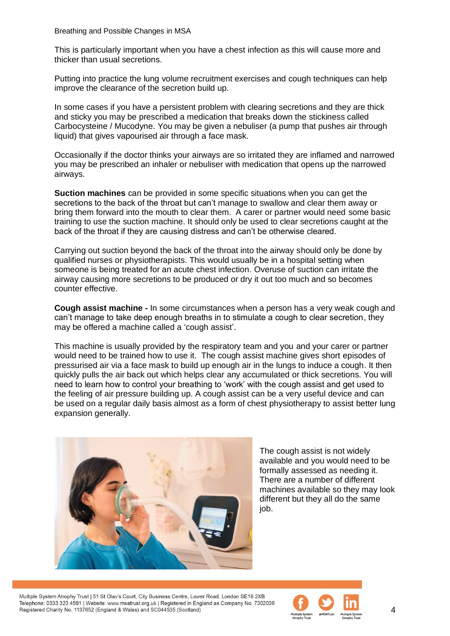This is particularly important when you have a chest infection as this will cause more and thicker than usual secretions.

Putting into practice the lung volume recruitment exercises and cough techniques can help improve the clearance of the secretion build up.

In some cases if you have a persistent problem with clearing secretions and they are thick and sticky you may be prescribed a medication that breaks down the stickiness called Carbocysteine / Mucodyne. You may be given a nebuliser (a pump that pushes air through liquid) that gives vapourised air through a face mask.

Occasionally if the doctor thinks your airways are so irritated they are inflamed and narrowed you may be prescribed an inhaler or nebuliser with medication that opens up the narrowed airways.

**Suction machines** can be provided in some specific situations when you can get the secretions to the back of the throat but can't manage to swallow and clear them away or bring them forward into the mouth to clear them. A carer or partner would need some basic training to use the suction machine. It should only be used to clear secretions caught at the back of the throat if they are causing distress and can't be otherwise cleared.

Carrying out suction beyond the back of the throat into the airway should only be done by qualified nurses or physiotherapists. This would usually be in a hospital setting when someone is being treated for an acute chest infection. Overuse of suction can irritate the airway causing more secretions to be produced or dry it out too much and so becomes counter effective.

**Cough assist machine -** In some circumstances when a person has a very weak cough and can't manage to take deep enough breaths in to stimulate a cough to clear secretion, they may be offered a machine called a 'cough assist'.

This machine is usually provided by the respiratory team and you and your carer or partner would need to be trained how to use it. The cough assist machine gives short episodes of pressurised air via a face mask to build up enough air in the lungs to induce a cough. It then quickly pulls the air back out which helps clear any accumulated or thick secretions. You will need to learn how to control your breathing to 'work' with the cough assist and get used to the feeling of air pressure building up. A cough assist can be a very useful device and can be used on a regular daily basis almost as a form of chest physiotherapy to assist better lung expansion generally.



The cough assist is not widely available and you would need to be formally assessed as needing it. There are a number of different machines available so they may look different but they all do the same job.

Multiple System Atrophy Trust | 51 St Olay's Court, City Business Centre, Lower Road, London SE16 2XB Telephone: 0333 323 4591 | Website: www.msatrust.org.uk | Registered in England as Company No. 7302036 Registered Charity No. 1137652 (England & Wales) and SC044535 (Scotland)

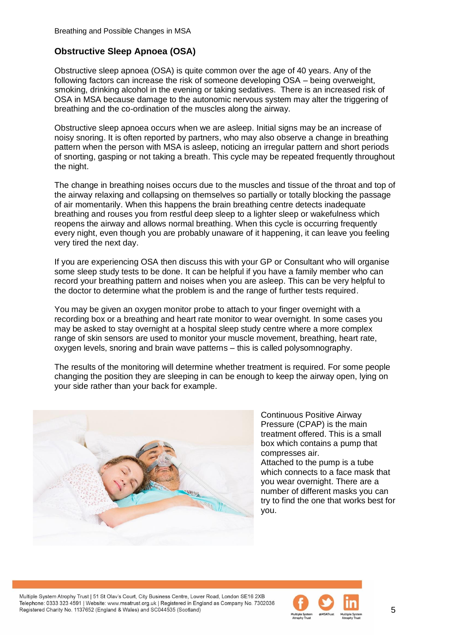## **Obstructive Sleep Apnoea (OSA)**

Obstructive sleep apnoea (OSA) is quite common over the age of 40 years. Any of the following factors can increase the risk of someone developing OSA – being overweight, smoking, drinking alcohol in the evening or taking sedatives. There is an increased risk of OSA in MSA because damage to the autonomic nervous system may alter the triggering of breathing and the co-ordination of the muscles along the airway.

Obstructive sleep apnoea occurs when we are asleep. Initial signs may be an increase of noisy snoring. It is often reported by partners, who may also observe a change in breathing pattern when the person with MSA is asleep, noticing an irregular pattern and short periods of snorting, gasping or not taking a breath. This cycle may be repeated frequently throughout the night.

The change in breathing noises occurs due to the muscles and tissue of the throat and top of the airway relaxing and collapsing on themselves so partially or totally blocking the passage of air momentarily. When this happens the brain breathing centre detects inadequate breathing and rouses you from restful deep sleep to a lighter sleep or wakefulness which reopens the airway and allows normal breathing. When this cycle is occurring frequently every night, even though you are probably unaware of it happening, it can leave you feeling very tired the next day.

If you are experiencing OSA then discuss this with your GP or Consultant who will organise some sleep study tests to be done. It can be helpful if you have a family member who can record your breathing pattern and noises when you are asleep. This can be very helpful to the doctor to determine what the problem is and the range of further tests required.

You may be given an oxygen monitor probe to attach to your finger overnight with a recording box or a breathing and heart rate monitor to wear overnight. In some cases you may be asked to stay overnight at a hospital sleep study centre where a more complex range of skin sensors are used to monitor your muscle movement, breathing, heart rate, oxygen levels, snoring and brain wave patterns – this is called polysomnography.

The results of the monitoring will determine whether treatment is required. For some people changing the position they are sleeping in can be enough to keep the airway open, lying on your side rather than your back for example.



Continuous Positive Airway Pressure (CPAP) is the main treatment offered. This is a small box which contains a pump that compresses air.

Attached to the pump is a tube which connects to a face mask that you wear overnight. There are a number of different masks you can try to find the one that works best for you.

Multiple System Atrophy Trust | 51 St Olay's Court, City Business Centre, Lower Road, London SE16 2XB Telephone: 0333 323 4591 | Website: www.msatrust.org.uk | Registered in England as Company No. 7302036 Registered Charity No. 1137652 (England & Wales) and SC044535 (Scotland)

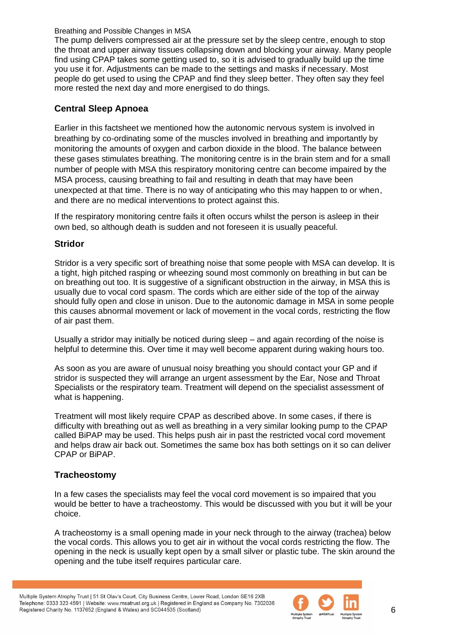The pump delivers compressed air at the pressure set by the sleep centre, enough to stop the throat and upper airway tissues collapsing down and blocking your airway. Many people find using CPAP takes some getting used to, so it is advised to gradually build up the time you use it for. Adjustments can be made to the settings and masks if necessary. Most people do get used to using the CPAP and find they sleep better. They often say they feel more rested the next day and more energised to do things.

### **Central Sleep Apnoea**

Earlier in this factsheet we mentioned how the autonomic nervous system is involved in breathing by co-ordinating some of the muscles involved in breathing and importantly by monitoring the amounts of oxygen and carbon dioxide in the blood. The balance between these gases stimulates breathing. The monitoring centre is in the brain stem and for a small number of people with MSA this respiratory monitoring centre can become impaired by the MSA process, causing breathing to fail and resulting in death that may have been unexpected at that time. There is no way of anticipating who this may happen to or when, and there are no medical interventions to protect against this.

If the respiratory monitoring centre fails it often occurs whilst the person is asleep in their own bed, so although death is sudden and not foreseen it is usually peaceful.

#### **Stridor**

Stridor is a very specific sort of breathing noise that some people with MSA can develop. It is a tight, high pitched rasping or wheezing sound most commonly on breathing in but can be on breathing out too. It is suggestive of a significant obstruction in the airway, in MSA this is usually due to vocal cord spasm. The cords which are either side of the top of the airway should fully open and close in unison. Due to the autonomic damage in MSA in some people this causes abnormal movement or lack of movement in the vocal cords, restricting the flow of air past them.

Usually a stridor may initially be noticed during sleep – and again recording of the noise is helpful to determine this. Over time it may well become apparent during waking hours too.

As soon as you are aware of unusual noisy breathing you should contact your GP and if stridor is suspected they will arrange an urgent assessment by the Ear, Nose and Throat Specialists or the respiratory team. Treatment will depend on the specialist assessment of what is happening.

Treatment will most likely require CPAP as described above. In some cases, if there is difficulty with breathing out as well as breathing in a very similar looking pump to the CPAP called BiPAP may be used. This helps push air in past the restricted vocal cord movement and helps draw air back out. Sometimes the same box has both settings on it so can deliver CPAP or BiPAP.

#### **Tracheostomy**

In a few cases the specialists may feel the vocal cord movement is so impaired that you would be better to have a tracheostomy. This would be discussed with you but it will be your choice.

A tracheostomy is a small opening made in your neck through to the airway (trachea) below the vocal cords. This allows you to get air in without the vocal cords restricting the flow. The opening in the neck is usually kept open by a small silver or plastic tube. The skin around the opening and the tube itself requires particular care.

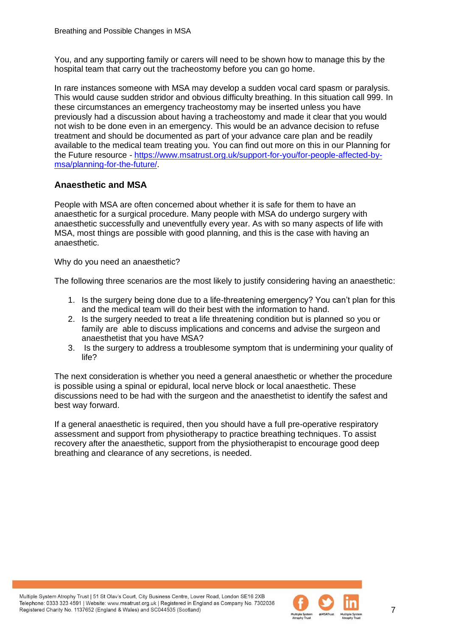You, and any supporting family or carers will need to be shown how to manage this by the hospital team that carry out the tracheostomy before you can go home.

In rare instances someone with MSA may develop a sudden vocal card spasm or paralysis. This would cause sudden stridor and obvious difficulty breathing. In this situation call 999. In these circumstances an emergency tracheostomy may be inserted unless you have previously had a discussion about having a tracheostomy and made it clear that you would not wish to be done even in an emergency. This would be an advance decision to refuse treatment and should be documented as part of your advance care plan and be readily available to the medical team treating you. You can find out more on this in our Planning for the Future resource - [https://www.msatrust.org.uk/support-for-you/for-people-affected-by](https://www.msatrust.org.uk/support-for-you/for-people-affected-by-msa/planning-for-the-future/)[msa/planning-for-the-future/.](https://www.msatrust.org.uk/support-for-you/for-people-affected-by-msa/planning-for-the-future/)

#### **Anaesthetic and MSA**

People with MSA are often concerned about whether it is safe for them to have an anaesthetic for a surgical procedure. Many people with MSA do undergo surgery with anaesthetic successfully and uneventfully every year. As with so many aspects of life with MSA, most things are possible with good planning, and this is the case with having an anaesthetic.

Why do you need an anaesthetic?

The following three scenarios are the most likely to justify considering having an anaesthetic:

- 1. Is the surgery being done due to a life-threatening emergency? You can't plan for this and the medical team will do their best with the information to hand.
- 2. Is the surgery needed to treat a life threatening condition but is planned so you or family are able to discuss implications and concerns and advise the surgeon and anaesthetist that you have MSA?
- 3. Is the surgery to address a troublesome symptom that is undermining your quality of life?

The next consideration is whether you need a general anaesthetic or whether the procedure is possible using a spinal or epidural, local nerve block or local anaesthetic. These discussions need to be had with the surgeon and the anaesthetist to identify the safest and best way forward.

If a general anaesthetic is required, then you should have a full pre-operative respiratory assessment and support from physiotherapy to practice breathing techniques. To assist recovery after the anaesthetic, support from the physiotherapist to encourage good deep breathing and clearance of any secretions, is needed.